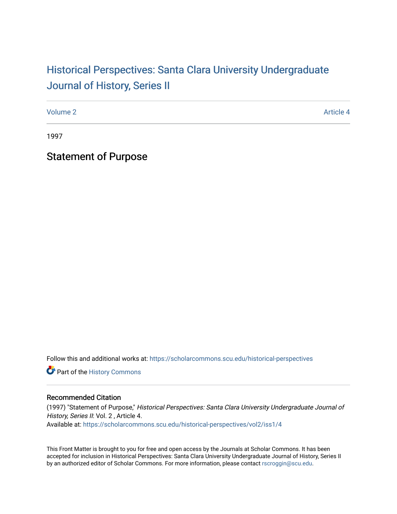## Historical Perspectiv[es: Santa Clara University Under](https://scholarcommons.scu.edu/historical-perspectives)graduate [Journal of History, Series II](https://scholarcommons.scu.edu/historical-perspectives)

[Volume 2](https://scholarcommons.scu.edu/historical-perspectives/vol2) Article 4

1997

Statement of Purpose

Follow this and additional works at: [https://scholarcommons.scu.edu/historical-perspectives](https://scholarcommons.scu.edu/historical-perspectives?utm_source=scholarcommons.scu.edu%2Fhistorical-perspectives%2Fvol2%2Fiss1%2F4&utm_medium=PDF&utm_campaign=PDFCoverPages) 

Part of the [History Commons](http://network.bepress.com/hgg/discipline/489?utm_source=scholarcommons.scu.edu%2Fhistorical-perspectives%2Fvol2%2Fiss1%2F4&utm_medium=PDF&utm_campaign=PDFCoverPages) 

## Recommended Citation

(1997) "Statement of Purpose," Historical Perspectives: Santa Clara University Undergraduate Journal of History, Series II: Vol. 2, Article 4. Available at: [https://scholarcommons.scu.edu/historical-perspectives/vol2/iss1/4](https://scholarcommons.scu.edu/historical-perspectives/vol2/iss1/4?utm_source=scholarcommons.scu.edu%2Fhistorical-perspectives%2Fvol2%2Fiss1%2F4&utm_medium=PDF&utm_campaign=PDFCoverPages) 

This Front Matter is brought to you for free and open access by the Journals at Scholar Commons. It has been accepted for inclusion in Historical Perspectives: Santa Clara University Undergraduate Journal of History, Series II by an authorized editor of Scholar Commons. For more information, please contact [rscroggin@scu.edu.](mailto:rscroggin@scu.edu)